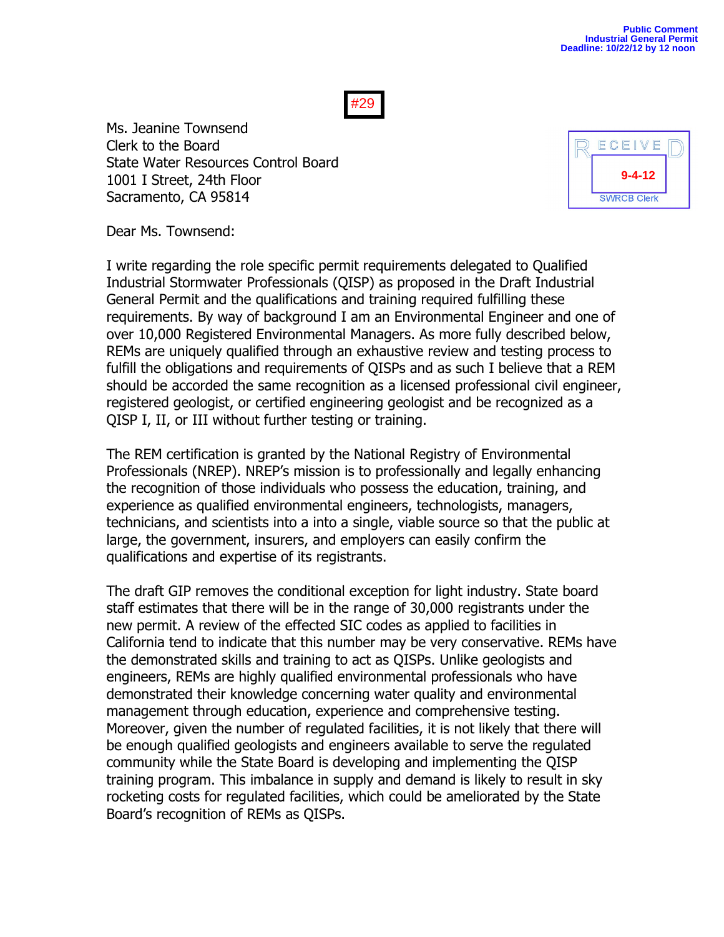Ms. Jeanine Townsend Clerk to the Board State Water Resources Control Board 1001 I Street, 24th Floor Sacramento, CA 95814



Dear Ms. Townsend:

I write regarding the role specific permit requirements delegated to Qualified Industrial Stormwater Professionals (QISP) as proposed in the Draft Industrial General Permit and the qualifications and training required fulfilling these requirements. By way of background I am an Environmental Engineer and one of over 10,000 Registered Environmental Managers. As more fully described below, REMs are uniquely qualified through an exhaustive review and testing process to fulfill the obligations and requirements of QISPs and as such I believe that a REM should be accorded the same recognition as a licensed professional civil engineer, registered geologist, or certified engineering geologist and be recognized as a QISP I, II, or III without further testing or training.

The REM certification is granted by the National Registry of Environmental Professionals (NREP). NREP's mission is to professionally and legally enhancing the recognition of those individuals who possess the education, training, and experience as qualified environmental engineers, technologists, managers, technicians, and scientists into a into a single, viable source so that the public at large, the government, insurers, and employers can easily confirm the qualifications and expertise of its registrants.

The draft GIP removes the conditional exception for light industry. State board staff estimates that there will be in the range of 30,000 registrants under the new permit. A review of the effected SIC codes as applied to facilities in California tend to indicate that this number may be very conservative. REMs have the demonstrated skills and training to act as QISPs. Unlike geologists and engineers, REMs are highly qualified environmental professionals who have demonstrated their knowledge concerning water quality and environmental management through education, experience and comprehensive testing. Moreover, given the number of regulated facilities, it is not likely that there will be enough qualified geologists and engineers available to serve the regulated community while the State Board is developing and implementing the QISP training program. This imbalance in supply and demand is likely to result in sky rocketing costs for regulated facilities, which could be ameliorated by the State Board's recognition of REMs as QISPs.

## #29